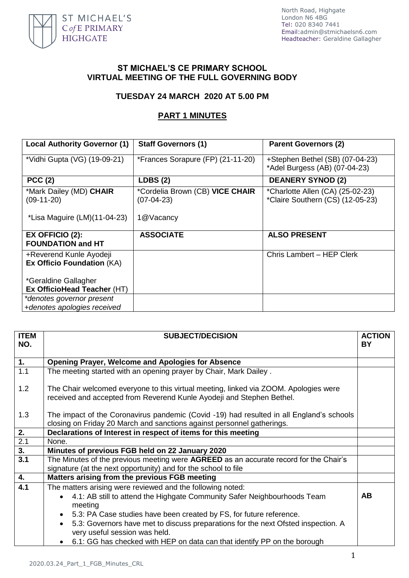

North Road, Highgate London N6 4BG Tel: 020 8340 7441 Email[:admin@stmichaelsn6.com](mailto:admin@stmichaelsn6.com) Headteacher: Geraldine Gallagher

## **ST MICHAEL'S CE PRIMARY SCHOOL VIRTUAL MEETING OF THE FULL GOVERNING BODY**

## **TUESDAY 24 MARCH 2020 AT 5.00 PM**

## **PART 1 MINUTES**

| <b>Local Authority Governor (1)</b>                          | <b>Staff Governors (1)</b>                      | <b>Parent Governors (2)</b>                                          |  |
|--------------------------------------------------------------|-------------------------------------------------|----------------------------------------------------------------------|--|
| *Vidhi Gupta (VG) (19-09-21)                                 | *Frances Sorapure (FP) (21-11-20)               | +Stephen Bethel (SB) (07-04-23)<br>*Adel Burgess (AB) (07-04-23)     |  |
| PCC(2)                                                       | LDBS(2)                                         | <b>DEANERY SYNOD (2)</b>                                             |  |
| *Mark Dailey (MD) CHAIR<br>$(09-11-20)$                      | *Cordelia Brown (CB) VICE CHAIR<br>$(07-04-23)$ | *Charlotte Allen (CA) (25-02-23)<br>*Claire Southern (CS) (12-05-23) |  |
| *Lisa Maguire (LM)(11-04-23)                                 | 1@Vacancy                                       |                                                                      |  |
| $EX$ OFFICIO $(2)$ :<br><b>FOUNDATION and HT</b>             | <b>ASSOCIATE</b>                                | <b>ALSO PRESENT</b>                                                  |  |
| +Reverend Kunle Ayodeji<br><b>Ex Officio Foundation (KA)</b> |                                                 | Chris Lambert - HEP Clerk                                            |  |
| *Geraldine Gallagher                                         |                                                 |                                                                      |  |
| Ex OfficioHead Teacher (HT)                                  |                                                 |                                                                      |  |
| *denotes governor present                                    |                                                 |                                                                      |  |
| +denotes apologies received                                  |                                                 |                                                                      |  |

| <b>TTEM</b><br>NO. | <b>SUBJECT/DECISION</b>                                                                                                                                       | <b>ACTION</b><br><b>BY</b> |
|--------------------|---------------------------------------------------------------------------------------------------------------------------------------------------------------|----------------------------|
|                    |                                                                                                                                                               |                            |
| $\overline{1}$ .   | <b>Opening Prayer, Welcome and Apologies for Absence</b>                                                                                                      |                            |
| 1.1                | The meeting started with an opening prayer by Chair, Mark Dailey.                                                                                             |                            |
| 1.2                | The Chair welcomed everyone to this virtual meeting, linked via ZOOM. Apologies were<br>received and accepted from Reverend Kunle Ayodeji and Stephen Bethel. |                            |
| 1.3                | The impact of the Coronavirus pandemic (Covid -19) had resulted in all England's schools                                                                      |                            |
|                    | closing on Friday 20 March and sanctions against personnel gatherings.                                                                                        |                            |
| $\overline{2}$ .   | Declarations of Interest in respect of items for this meeting                                                                                                 |                            |
| 2.1                | None.                                                                                                                                                         |                            |
| $\overline{3.}$    | Minutes of previous FGB held on 22 January 2020                                                                                                               |                            |
| 3.1                | The Minutes of the previous meeting were AGREED as an accurate record for the Chair's                                                                         |                            |
|                    | signature (at the next opportunity) and for the school to file                                                                                                |                            |
| $\overline{4}$ .   | Matters arising from the previous FGB meeting                                                                                                                 |                            |
| 4.1                | The matters arising were reviewed and the following noted:                                                                                                    |                            |
|                    | 4.1: AB still to attend the Highgate Community Safer Neighbourhoods Team                                                                                      | <b>AB</b>                  |
|                    | meeting                                                                                                                                                       |                            |
|                    | 5.3: PA Case studies have been created by FS, for future reference.<br>$\bullet$                                                                              |                            |
|                    | 5.3: Governors have met to discuss preparations for the next Ofsted inspection. A<br>$\bullet$                                                                |                            |
|                    | very useful session was held.                                                                                                                                 |                            |
|                    | • 6.1: GG has checked with HEP on data can that identify PP on the borough                                                                                    |                            |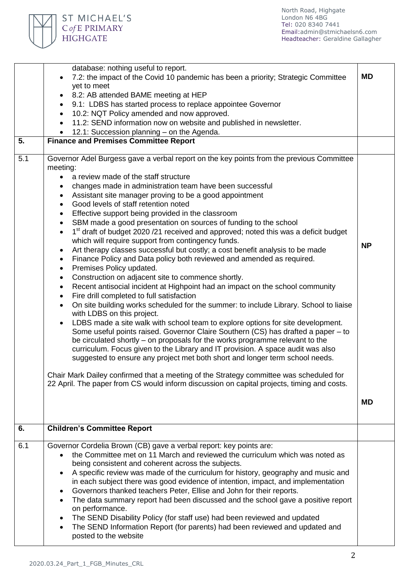٦

|     | database: nothing useful to report.                                                                          |           |
|-----|--------------------------------------------------------------------------------------------------------------|-----------|
|     | 7.2: the impact of the Covid 10 pandemic has been a priority; Strategic Committee                            | <b>MD</b> |
|     | yet to meet                                                                                                  |           |
|     | 8.2: AB attended BAME meeting at HEP                                                                         |           |
|     | 9.1: LDBS has started process to replace appointee Governor                                                  |           |
|     | 10.2: NQT Policy amended and now approved.                                                                   |           |
|     | 11.2: SEND information now on website and published in newsletter.                                           |           |
|     | 12.1: Succession planning - on the Agenda.                                                                   |           |
| 5.  | <b>Finance and Premises Committee Report</b>                                                                 |           |
| 5.1 | Governor Adel Burgess gave a verbal report on the key points from the previous Committee                     |           |
|     | meeting:                                                                                                     |           |
|     | a review made of the staff structure                                                                         |           |
|     | changes made in administration team have been successful                                                     |           |
|     | Assistant site manager proving to be a good appointment                                                      |           |
|     | Good levels of staff retention noted<br>$\bullet$                                                            |           |
|     | Effective support being provided in the classroom                                                            |           |
|     | SBM made a good presentation on sources of funding to the school<br>$\bullet$                                |           |
|     | 1 <sup>st</sup> draft of budget 2020 /21 received and approved; noted this was a deficit budget<br>$\bullet$ |           |
|     | which will require support from contingency funds.                                                           |           |
|     | Art therapy classes successful but costly; a cost benefit analysis to be made<br>$\bullet$                   | <b>NP</b> |
|     | Finance Policy and Data policy both reviewed and amended as required.                                        |           |
|     | Premises Policy updated.<br>$\bullet$                                                                        |           |
|     | Construction on adjacent site to commence shortly.<br>$\bullet$                                              |           |
|     | Recent antisocial incident at Highpoint had an impact on the school community<br>٠                           |           |
|     | Fire drill completed to full satisfaction<br>$\bullet$                                                       |           |
|     | On site building works scheduled for the summer: to include Library. School to liaise<br>$\bullet$           |           |
|     | with LDBS on this project.                                                                                   |           |
|     | LDBS made a site walk with school team to explore options for site development.                              |           |
|     | Some useful points raised. Governor Claire Southern (CS) has drafted a paper - to                            |           |
|     | be circulated shortly – on proposals for the works programme relevant to the                                 |           |
|     | curriculum. Focus given to the Library and IT provision. A space audit was also                              |           |
|     | suggested to ensure any project met both short and longer term school needs.                                 |           |
|     |                                                                                                              |           |
|     | Chair Mark Dailey confirmed that a meeting of the Strategy committee was scheduled for                       |           |
|     | 22 April. The paper from CS would inform discussion on capital projects, timing and costs.                   |           |
|     |                                                                                                              | <b>MD</b> |
|     |                                                                                                              |           |
|     |                                                                                                              |           |
| 6.  | <b>Children's Committee Report</b>                                                                           |           |
|     |                                                                                                              |           |
| 6.1 | Governor Cordelia Brown (CB) gave a verbal report: key points are:                                           |           |
|     | the Committee met on 11 March and reviewed the curriculum which was noted as                                 |           |
|     | being consistent and coherent across the subjects.                                                           |           |
|     | A specific review was made of the curriculum for history, geography and music and                            |           |
|     | in each subject there was good evidence of intention, impact, and implementation                             |           |
|     | Governors thanked teachers Peter, Ellise and John for their reports.                                         |           |
|     | The data summary report had been discussed and the school gave a positive report<br>on performance.          |           |
|     | The SEND Disability Policy (for staff use) had been reviewed and updated                                     |           |
|     | The SEND Information Report (for parents) had been reviewed and updated and                                  |           |
|     | posted to the website                                                                                        |           |

ST MICHAEL'S  $C$  of E PRIMARY **HIGHGATE**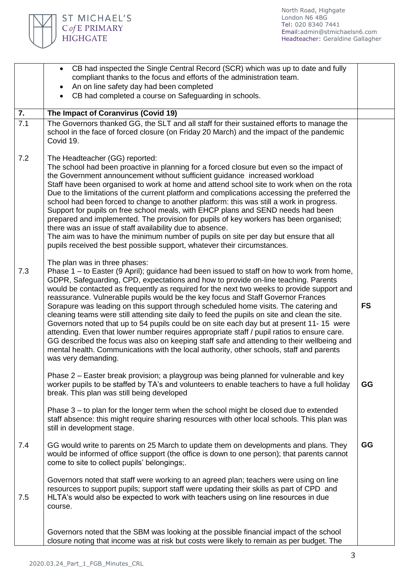

|     | • CB had inspected the Single Central Record (SCR) which was up to date and fully<br>compliant thanks to the focus and efforts of the administration team.                                                                                                                                                                                                                                                                                                                                                                                                                                                                                                                                                                                                                                                                                                                                                                                                                                                 |           |
|-----|------------------------------------------------------------------------------------------------------------------------------------------------------------------------------------------------------------------------------------------------------------------------------------------------------------------------------------------------------------------------------------------------------------------------------------------------------------------------------------------------------------------------------------------------------------------------------------------------------------------------------------------------------------------------------------------------------------------------------------------------------------------------------------------------------------------------------------------------------------------------------------------------------------------------------------------------------------------------------------------------------------|-----------|
|     | An on line safety day had been completed                                                                                                                                                                                                                                                                                                                                                                                                                                                                                                                                                                                                                                                                                                                                                                                                                                                                                                                                                                   |           |
|     | CB had completed a course on Safeguarding in schools.                                                                                                                                                                                                                                                                                                                                                                                                                                                                                                                                                                                                                                                                                                                                                                                                                                                                                                                                                      |           |
| 7.  | The Impact of Coranvirus (Covid 19)                                                                                                                                                                                                                                                                                                                                                                                                                                                                                                                                                                                                                                                                                                                                                                                                                                                                                                                                                                        |           |
| 7.1 | The Governors thanked GG, the SLT and all staff for their sustained efforts to manage the<br>school in the face of forced closure (on Friday 20 March) and the impact of the pandemic<br>Covid 19.                                                                                                                                                                                                                                                                                                                                                                                                                                                                                                                                                                                                                                                                                                                                                                                                         |           |
| 7.2 | The Headteacher (GG) reported:<br>The school had been proactive in planning for a forced closure but even so the impact of<br>the Government announcement without sufficient guidance increased workload<br>Staff have been organised to work at home and attend school site to work when on the rota<br>Due to the limitations of the current platform and complications accessing the preferred the<br>school had been forced to change to another platform: this was still a work in progress.<br>Support for pupils on free school meals, with EHCP plans and SEND needs had been<br>prepared and implemented. The provision for pupils of key workers has been organised;<br>there was an issue of staff availability due to absence.<br>The aim was to have the minimum number of pupils on site per day but ensure that all<br>pupils received the best possible support, whatever their circumstances.                                                                                             |           |
| 7.3 | The plan was in three phases:<br>Phase $1 -$ to Easter (9 April); guidance had been issued to staff on how to work from home,<br>GDPR, Safeguarding, CPD, expectations and how to provide on-line teaching. Parents<br>would be contacted as frequently as required for the next two weeks to provide support and<br>reassurance. Vulnerable pupils would be the key focus and Staff Governor Frances<br>Sorapure was leading on this support through scheduled home visits. The catering and<br>cleaning teams were still attending site daily to feed the pupils on site and clean the site.<br>Governors noted that up to 54 pupils could be on site each day but at present 11-15 were<br>attending. Even that lower number requires appropriate staff / pupil ratios to ensure care.<br>GG described the focus was also on keeping staff safe and attending to their wellbeing and<br>mental health. Communications with the local authority, other schools, staff and parents<br>was very demanding. | <b>FS</b> |
|     | Phase 2 – Easter break provision; a playgroup was being planned for vulnerable and key<br>worker pupils to be staffed by TA's and volunteers to enable teachers to have a full holiday<br>break. This plan was still being developed                                                                                                                                                                                                                                                                                                                                                                                                                                                                                                                                                                                                                                                                                                                                                                       | GG        |
|     | Phase $3 -$ to plan for the longer term when the school might be closed due to extended<br>staff absence: this might require sharing resources with other local schools. This plan was<br>still in development stage.                                                                                                                                                                                                                                                                                                                                                                                                                                                                                                                                                                                                                                                                                                                                                                                      |           |
| 7.4 | GG would write to parents on 25 March to update them on developments and plans. They<br>would be informed of office support (the office is down to one person); that parents cannot<br>come to site to collect pupils' belongings;.                                                                                                                                                                                                                                                                                                                                                                                                                                                                                                                                                                                                                                                                                                                                                                        | GG        |
| 7.5 | Governors noted that staff were working to an agreed plan; teachers were using on line<br>resources to support pupils; support staff were updating their skills as part of CPD and<br>HLTA's would also be expected to work with teachers using on line resources in due<br>course.                                                                                                                                                                                                                                                                                                                                                                                                                                                                                                                                                                                                                                                                                                                        |           |
|     | Governors noted that the SBM was looking at the possible financial impact of the school<br>closure noting that income was at risk but costs were likely to remain as per budget. The                                                                                                                                                                                                                                                                                                                                                                                                                                                                                                                                                                                                                                                                                                                                                                                                                       |           |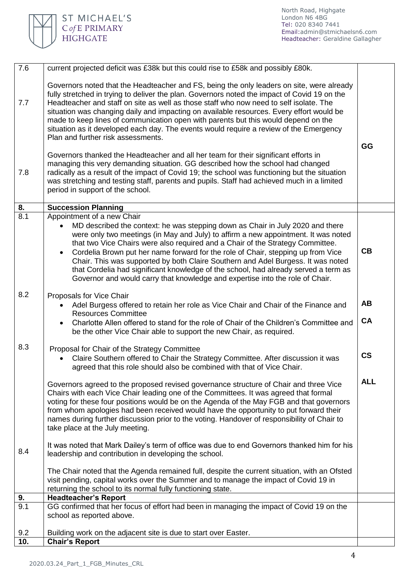

| Governors noted that the Headteacher and FS, being the only leaders on site, were already<br>fully stretched in trying to deliver the plan. Governors noted the impact of Covid 19 on the<br>Headteacher and staff on site as well as those staff who now need to self isolate. The<br>7.7<br>situation was changing daily and impacting on available resources. Every effort would be<br>made to keep lines of communication open with parents but this would depend on the<br>situation as it developed each day. The events would require a review of the Emergency<br>Plan and further risk assessments.                                             | GG                       |
|----------------------------------------------------------------------------------------------------------------------------------------------------------------------------------------------------------------------------------------------------------------------------------------------------------------------------------------------------------------------------------------------------------------------------------------------------------------------------------------------------------------------------------------------------------------------------------------------------------------------------------------------------------|--------------------------|
| Governors thanked the Headteacher and all her team for their significant efforts in<br>managing this very demanding situation. GG described how the school had changed<br>radically as a result of the impact of Covid 19; the school was functioning but the situation<br>7.8<br>was stretching and testing staff, parents and pupils. Staff had achieved much in a limited<br>period in support of the school.                                                                                                                                                                                                                                         |                          |
| 8.<br><b>Succession Planning</b>                                                                                                                                                                                                                                                                                                                                                                                                                                                                                                                                                                                                                         |                          |
| 8.1<br>Appointment of a new Chair<br>MD described the context: he was stepping down as Chair in July 2020 and there<br>were only two meetings (in May and July) to affirm a new appointment. It was noted<br>that two Vice Chairs were also required and a Chair of the Strategy Committee.<br>Cordelia Brown put her name forward for the role of Chair, stepping up from Vice<br>$\bullet$<br>Chair. This was supported by both Claire Southern and Adel Burgess. It was noted<br>that Cordelia had significant knowledge of the school, had already served a term as<br>Governor and would carry that knowledge and expertise into the role of Chair. | CB                       |
| 8.2<br>Proposals for Vice Chair<br>Adel Burgess offered to retain her role as Vice Chair and Chair of the Finance and<br><b>Resources Committee</b><br>Charlotte Allen offered to stand for the role of Chair of the Children's Committee and<br>$\bullet$                                                                                                                                                                                                                                                                                                                                                                                               | AB<br>CA                 |
| be the other Vice Chair able to support the new Chair, as required.                                                                                                                                                                                                                                                                                                                                                                                                                                                                                                                                                                                      |                          |
| 8.3<br>Proposal for Chair of the Strategy Committee<br>Claire Southern offered to Chair the Strategy Committee. After discussion it was<br>agreed that this role should also be combined with that of Vice Chair.                                                                                                                                                                                                                                                                                                                                                                                                                                        | $\mathsf{CS}\phantom{0}$ |
| Governors agreed to the proposed revised governance structure of Chair and three Vice<br>Chairs with each Vice Chair leading one of the Committees. It was agreed that formal<br>voting for these four positions would be on the Agenda of the May FGB and that governors<br>from whom apologies had been received would have the opportunity to put forward their<br>names during further discussion prior to the voting. Handover of responsibility of Chair to<br>take place at the July meeting.                                                                                                                                                     | <b>ALL</b>               |
| It was noted that Mark Dailey's term of office was due to end Governors thanked him for his<br>8.4<br>leadership and contribution in developing the school.                                                                                                                                                                                                                                                                                                                                                                                                                                                                                              |                          |
| The Chair noted that the Agenda remained full, despite the current situation, with an Ofsted<br>visit pending, capital works over the Summer and to manage the impact of Covid 19 in<br>returning the school to its normal fully functioning state.                                                                                                                                                                                                                                                                                                                                                                                                      |                          |
| 9.<br><b>Headteacher's Report</b>                                                                                                                                                                                                                                                                                                                                                                                                                                                                                                                                                                                                                        |                          |
| GG confirmed that her focus of effort had been in managing the impact of Covid 19 on the<br>9.1<br>school as reported above.                                                                                                                                                                                                                                                                                                                                                                                                                                                                                                                             |                          |
| 9.2<br>Building work on the adjacent site is due to start over Easter.                                                                                                                                                                                                                                                                                                                                                                                                                                                                                                                                                                                   |                          |
| <b>Chair's Report</b><br>10.                                                                                                                                                                                                                                                                                                                                                                                                                                                                                                                                                                                                                             |                          |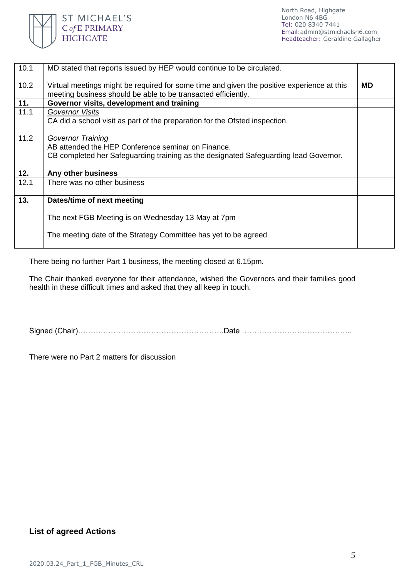

| 10.1 | MD stated that reports issued by HEP would continue to be circulated.                                                                                                  |           |
|------|------------------------------------------------------------------------------------------------------------------------------------------------------------------------|-----------|
| 10.2 | Virtual meetings might be required for some time and given the positive experience at this<br>meeting business should be able to be transacted efficiently.            | <b>MD</b> |
| 11.  | Governor visits, development and training                                                                                                                              |           |
| 11.1 | <b>Governor Visits</b><br>CA did a school visit as part of the preparation for the Ofsted inspection.                                                                  |           |
| 11.2 | <b>Governor Training</b><br>AB attended the HEP Conference seminar on Finance.<br>CB completed her Safeguarding training as the designated Safeguarding lead Governor. |           |
| 12.  | Any other business                                                                                                                                                     |           |
| 12.1 | There was no other business                                                                                                                                            |           |
| 13.  | Dates/time of next meeting                                                                                                                                             |           |
|      | The next FGB Meeting is on Wednesday 13 May at 7pm                                                                                                                     |           |
|      | The meeting date of the Strategy Committee has yet to be agreed.                                                                                                       |           |

There being no further Part 1 business, the meeting closed at 6.15pm.

The Chair thanked everyone for their attendance, wished the Governors and their families good health in these difficult times and asked that they all keep in touch.

Signed (Chair)………………………………………………….Date ……………………………………..

There were no Part 2 matters for discussion